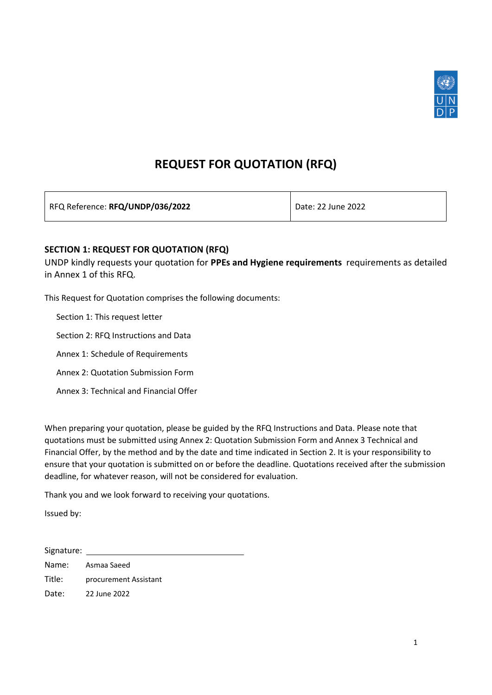

# **REQUEST FOR QUOTATION (RFQ)**

RFQ Reference: **RFQ/UNDP/036/2022** Date: 22 June 2022

### **SECTION 1: REQUEST FOR QUOTATION (RFQ)**

UNDP kindly requests your quotation for **PPEs and Hygiene requirements** requirements as detailed in Annex 1 of this RFQ.

This Request for Quotation comprises the following documents:

Section 1: This request letter

Section 2: RFQ Instructions and Data

Annex 1: Schedule of Requirements

Annex 2: Quotation Submission Form

Annex 3: Technical and Financial Offer

When preparing your quotation, please be guided by the RFQ Instructions and Data. Please note that quotations must be submitted using Annex 2: Quotation Submission Form and Annex 3 Technical and Financial Offer, by the method and by the date and time indicated in Section 2. It is your responsibility to ensure that your quotation is submitted on or before the deadline. Quotations received after the submission deadline, for whatever reason, will not be considered for evaluation.

Thank you and we look forward to receiving your quotations.

Issued by:

Signature: Name: Asmaa Saeed Title: procurement Assistant Date: 22 June 2022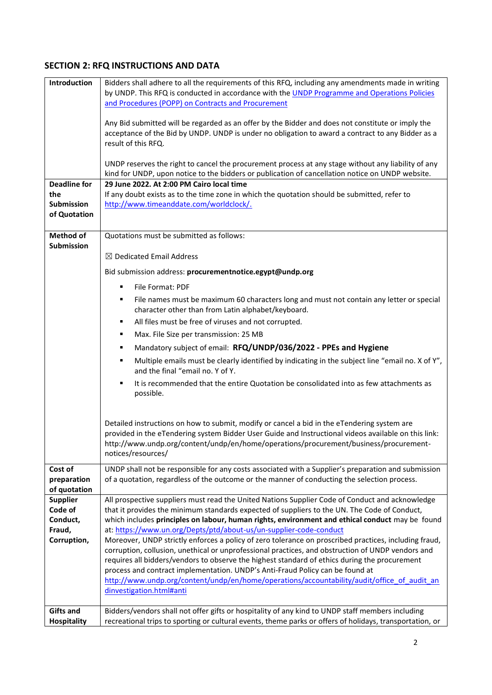## **SECTION 2: RFQ INSTRUCTIONS AND DATA**

| Introduction                | Bidders shall adhere to all the requirements of this RFQ, including any amendments made in writing                                                                                                     |
|-----------------------------|--------------------------------------------------------------------------------------------------------------------------------------------------------------------------------------------------------|
|                             | by UNDP. This RFQ is conducted in accordance with the UNDP Programme and Operations Policies                                                                                                           |
|                             | and Procedures (POPP) on Contracts and Procurement                                                                                                                                                     |
|                             |                                                                                                                                                                                                        |
|                             | Any Bid submitted will be regarded as an offer by the Bidder and does not constitute or imply the<br>acceptance of the Bid by UNDP. UNDP is under no obligation to award a contract to any Bidder as a |
|                             | result of this RFQ.                                                                                                                                                                                    |
|                             |                                                                                                                                                                                                        |
|                             | UNDP reserves the right to cancel the procurement process at any stage without any liability of any                                                                                                    |
|                             | kind for UNDP, upon notice to the bidders or publication of cancellation notice on UNDP website.                                                                                                       |
| <b>Deadline for</b>         | 29 June 2022. At 2:00 PM Cairo local time                                                                                                                                                              |
| the                         | If any doubt exists as to the time zone in which the quotation should be submitted, refer to                                                                                                           |
| <b>Submission</b>           | http://www.timeanddate.com/worldclock/.                                                                                                                                                                |
| of Quotation                |                                                                                                                                                                                                        |
|                             |                                                                                                                                                                                                        |
| Method of                   | Quotations must be submitted as follows:                                                                                                                                                               |
| Submission                  | $\boxtimes$ Dedicated Email Address                                                                                                                                                                    |
|                             |                                                                                                                                                                                                        |
|                             | Bid submission address: procurementnotice.egypt@undp.org                                                                                                                                               |
|                             | File Format: PDF<br>٠                                                                                                                                                                                  |
|                             | File names must be maximum 60 characters long and must not contain any letter or special<br>٠                                                                                                          |
|                             | character other than from Latin alphabet/keyboard.                                                                                                                                                     |
|                             | All files must be free of viruses and not corrupted.<br>٠                                                                                                                                              |
|                             | Max. File Size per transmission: 25 MB<br>٠                                                                                                                                                            |
|                             | Mandatory subject of email: RFQ/UNDP/036/2022 - PPEs and Hygiene<br>٠                                                                                                                                  |
|                             | Multiple emails must be clearly identified by indicating in the subject line "email no. X of Y",<br>٠                                                                                                  |
|                             | and the final "email no. Y of Y.                                                                                                                                                                       |
|                             | It is recommended that the entire Quotation be consolidated into as few attachments as<br>٠                                                                                                            |
|                             | possible.                                                                                                                                                                                              |
|                             |                                                                                                                                                                                                        |
|                             |                                                                                                                                                                                                        |
|                             | Detailed instructions on how to submit, modify or cancel a bid in the eTendering system are                                                                                                            |
|                             | provided in the eTendering system Bidder User Guide and Instructional videos available on this link:<br>http://www.undp.org/content/undp/en/home/operations/procurement/business/procurement-          |
|                             | notices/resources/                                                                                                                                                                                     |
|                             |                                                                                                                                                                                                        |
| Cost of                     | UNDP shall not be responsible for any costs associated with a Supplier's preparation and submission                                                                                                    |
| preparation<br>of quotation | of a quotation, regardless of the outcome or the manner of conducting the selection process.                                                                                                           |
| <b>Supplier</b>             | All prospective suppliers must read the United Nations Supplier Code of Conduct and acknowledge                                                                                                        |
| Code of                     | that it provides the minimum standards expected of suppliers to the UN. The Code of Conduct,                                                                                                           |
| Conduct,                    | which includes principles on labour, human rights, environment and ethical conduct may be found                                                                                                        |
| Fraud,                      | at: https://www.un.org/Depts/ptd/about-us/un-supplier-code-conduct                                                                                                                                     |
| Corruption,                 | Moreover, UNDP strictly enforces a policy of zero tolerance on proscribed practices, including fraud,                                                                                                  |
|                             | corruption, collusion, unethical or unprofessional practices, and obstruction of UNDP vendors and                                                                                                      |
|                             | requires all bidders/vendors to observe the highest standard of ethics during the procurement<br>process and contract implementation. UNDP's Anti-Fraud Policy can be found at                         |
|                             | http://www.undp.org/content/undp/en/home/operations/accountability/audit/office of audit an                                                                                                            |
|                             | dinvestigation.html#anti                                                                                                                                                                               |
|                             |                                                                                                                                                                                                        |
| <b>Gifts and</b>            | Bidders/vendors shall not offer gifts or hospitality of any kind to UNDP staff members including                                                                                                       |
| <b>Hospitality</b>          | recreational trips to sporting or cultural events, theme parks or offers of holidays, transportation, or                                                                                               |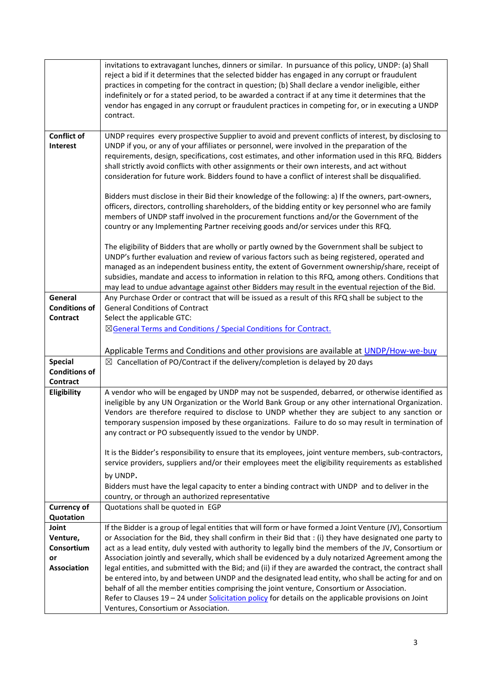|                                                      | invitations to extravagant lunches, dinners or similar. In pursuance of this policy, UNDP: (a) Shall<br>reject a bid if it determines that the selected bidder has engaged in any corrupt or fraudulent<br>practices in competing for the contract in question; (b) Shall declare a vendor ineligible, either<br>indefinitely or for a stated period, to be awarded a contract if at any time it determines that the<br>vendor has engaged in any corrupt or fraudulent practices in competing for, or in executing a UNDP<br>contract.                                                                                                                                                                                                                                                                                                                                                                 |
|------------------------------------------------------|---------------------------------------------------------------------------------------------------------------------------------------------------------------------------------------------------------------------------------------------------------------------------------------------------------------------------------------------------------------------------------------------------------------------------------------------------------------------------------------------------------------------------------------------------------------------------------------------------------------------------------------------------------------------------------------------------------------------------------------------------------------------------------------------------------------------------------------------------------------------------------------------------------|
| <b>Conflict of</b><br>Interest                       | UNDP requires every prospective Supplier to avoid and prevent conflicts of interest, by disclosing to<br>UNDP if you, or any of your affiliates or personnel, were involved in the preparation of the<br>requirements, design, specifications, cost estimates, and other information used in this RFQ. Bidders<br>shall strictly avoid conflicts with other assignments or their own interests, and act without<br>consideration for future work. Bidders found to have a conflict of interest shall be disqualified.                                                                                                                                                                                                                                                                                                                                                                                   |
|                                                      | Bidders must disclose in their Bid their knowledge of the following: a) If the owners, part-owners,<br>officers, directors, controlling shareholders, of the bidding entity or key personnel who are family<br>members of UNDP staff involved in the procurement functions and/or the Government of the<br>country or any Implementing Partner receiving goods and/or services under this RFQ.                                                                                                                                                                                                                                                                                                                                                                                                                                                                                                          |
|                                                      | The eligibility of Bidders that are wholly or partly owned by the Government shall be subject to<br>UNDP's further evaluation and review of various factors such as being registered, operated and<br>managed as an independent business entity, the extent of Government ownership/share, receipt of<br>subsidies, mandate and access to information in relation to this RFQ, among others. Conditions that<br>may lead to undue advantage against other Bidders may result in the eventual rejection of the Bid.                                                                                                                                                                                                                                                                                                                                                                                      |
| General<br><b>Conditions of</b><br>Contract          | Any Purchase Order or contract that will be issued as a result of this RFQ shall be subject to the<br><b>General Conditions of Contract</b><br>Select the applicable GTC:<br>⊠General Terms and Conditions / Special Conditions for Contract.                                                                                                                                                                                                                                                                                                                                                                                                                                                                                                                                                                                                                                                           |
|                                                      | Applicable Terms and Conditions and other provisions are available at UNDP/How-we-buy                                                                                                                                                                                                                                                                                                                                                                                                                                                                                                                                                                                                                                                                                                                                                                                                                   |
| <b>Special</b><br><b>Conditions of</b><br>Contract   | $\boxtimes$ Cancellation of PO/Contract if the delivery/completion is delayed by 20 days                                                                                                                                                                                                                                                                                                                                                                                                                                                                                                                                                                                                                                                                                                                                                                                                                |
| Eligibility                                          | A vendor who will be engaged by UNDP may not be suspended, debarred, or otherwise identified as<br>ineligible by any UN Organization or the World Bank Group or any other international Organization.<br>Vendors are therefore required to disclose to UNDP whether they are subject to any sanction or<br>temporary suspension imposed by these organizations. Failure to do so may result in termination of<br>any contract or PO subsequently issued to the vendor by UNDP.<br>It is the Bidder's responsibility to ensure that its employees, joint venture members, sub-contractors,<br>service providers, suppliers and/or their employees meet the eligibility requirements as established<br>by UNDP.                                                                                                                                                                                           |
|                                                      | Bidders must have the legal capacity to enter a binding contract with UNDP and to deliver in the<br>country, or through an authorized representative                                                                                                                                                                                                                                                                                                                                                                                                                                                                                                                                                                                                                                                                                                                                                    |
| <b>Currency of</b><br>Quotation                      | Quotations shall be quoted in EGP                                                                                                                                                                                                                                                                                                                                                                                                                                                                                                                                                                                                                                                                                                                                                                                                                                                                       |
| Joint<br>Venture,<br>Consortium<br>or<br>Association | If the Bidder is a group of legal entities that will form or have formed a Joint Venture (JV), Consortium<br>or Association for the Bid, they shall confirm in their Bid that : (i) they have designated one party to<br>act as a lead entity, duly vested with authority to legally bind the members of the JV, Consortium or<br>Association jointly and severally, which shall be evidenced by a duly notarized Agreement among the<br>legal entities, and submitted with the Bid; and (ii) if they are awarded the contract, the contract shall<br>be entered into, by and between UNDP and the designated lead entity, who shall be acting for and on<br>behalf of all the member entities comprising the joint venture, Consortium or Association.<br>Refer to Clauses 19 - 24 under Solicitation policy for details on the applicable provisions on Joint<br>Ventures, Consortium or Association. |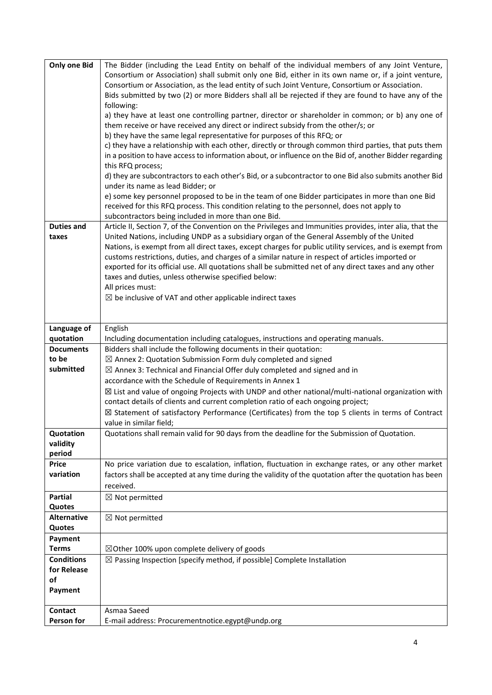| <b>Only one Bid</b>        | The Bidder (including the Lead Entity on behalf of the individual members of any Joint Venture,<br>Consortium or Association) shall submit only one Bid, either in its own name or, if a joint venture,<br>Consortium or Association, as the lead entity of such Joint Venture, Consortium or Association.<br>Bids submitted by two (2) or more Bidders shall all be rejected if they are found to have any of the |
|----------------------------|--------------------------------------------------------------------------------------------------------------------------------------------------------------------------------------------------------------------------------------------------------------------------------------------------------------------------------------------------------------------------------------------------------------------|
|                            | following:<br>a) they have at least one controlling partner, director or shareholder in common; or b) any one of<br>them receive or have received any direct or indirect subsidy from the other/s; or                                                                                                                                                                                                              |
|                            | b) they have the same legal representative for purposes of this RFQ; or<br>c) they have a relationship with each other, directly or through common third parties, that puts them<br>in a position to have access to information about, or influence on the Bid of, another Bidder regarding                                                                                                                        |
|                            | this RFQ process;<br>d) they are subcontractors to each other's Bid, or a subcontractor to one Bid also submits another Bid                                                                                                                                                                                                                                                                                        |
|                            | under its name as lead Bidder; or<br>e) some key personnel proposed to be in the team of one Bidder participates in more than one Bid                                                                                                                                                                                                                                                                              |
|                            | received for this RFQ process. This condition relating to the personnel, does not apply to<br>subcontractors being included in more than one Bid.                                                                                                                                                                                                                                                                  |
| <b>Duties and</b><br>taxes | Article II, Section 7, of the Convention on the Privileges and Immunities provides, inter alia, that the<br>United Nations, including UNDP as a subsidiary organ of the General Assembly of the United                                                                                                                                                                                                             |
|                            | Nations, is exempt from all direct taxes, except charges for public utility services, and is exempt from<br>customs restrictions, duties, and charges of a similar nature in respect of articles imported or                                                                                                                                                                                                       |
|                            | exported for its official use. All quotations shall be submitted net of any direct taxes and any other                                                                                                                                                                                                                                                                                                             |
|                            | taxes and duties, unless otherwise specified below:<br>All prices must:                                                                                                                                                                                                                                                                                                                                            |
|                            | $\boxtimes$ be inclusive of VAT and other applicable indirect taxes                                                                                                                                                                                                                                                                                                                                                |
|                            |                                                                                                                                                                                                                                                                                                                                                                                                                    |
| Language of                | English                                                                                                                                                                                                                                                                                                                                                                                                            |
| quotation                  | Including documentation including catalogues, instructions and operating manuals.                                                                                                                                                                                                                                                                                                                                  |
| <b>Documents</b><br>to be  | Bidders shall include the following documents in their quotation:<br>$\boxtimes$ Annex 2: Quotation Submission Form duly completed and signed                                                                                                                                                                                                                                                                      |
| submitted                  | $\boxtimes$ Annex 3: Technical and Financial Offer duly completed and signed and in                                                                                                                                                                                                                                                                                                                                |
|                            | accordance with the Schedule of Requirements in Annex 1                                                                                                                                                                                                                                                                                                                                                            |
|                            | $\boxtimes$ List and value of ongoing Projects with UNDP and other national/multi-national organization with                                                                                                                                                                                                                                                                                                       |
|                            | contact details of clients and current completion ratio of each ongoing project;                                                                                                                                                                                                                                                                                                                                   |
|                            | ⊠ Statement of satisfactory Performance (Certificates) from the top 5 clients in terms of Contract                                                                                                                                                                                                                                                                                                                 |
|                            | value in similar field;                                                                                                                                                                                                                                                                                                                                                                                            |
| Quotation                  | Quotations shall remain valid for 90 days from the deadline for the Submission of Quotation.                                                                                                                                                                                                                                                                                                                       |
| validity<br>period         |                                                                                                                                                                                                                                                                                                                                                                                                                    |
| Price                      | No price variation due to escalation, inflation, fluctuation in exchange rates, or any other market                                                                                                                                                                                                                                                                                                                |
| variation                  | factors shall be accepted at any time during the validity of the quotation after the quotation has been                                                                                                                                                                                                                                                                                                            |
| <b>Partial</b>             | received.                                                                                                                                                                                                                                                                                                                                                                                                          |
| Quotes                     | $\boxtimes$ Not permitted                                                                                                                                                                                                                                                                                                                                                                                          |
| <b>Alternative</b>         | $\boxtimes$ Not permitted                                                                                                                                                                                                                                                                                                                                                                                          |
| Quotes                     |                                                                                                                                                                                                                                                                                                                                                                                                                    |
| Payment                    |                                                                                                                                                                                                                                                                                                                                                                                                                    |
| <b>Terms</b>               | $\boxtimes$ Other 100% upon complete delivery of goods                                                                                                                                                                                                                                                                                                                                                             |
| <b>Conditions</b>          | $\boxtimes$ Passing Inspection [specify method, if possible] Complete Installation                                                                                                                                                                                                                                                                                                                                 |
| for Release                |                                                                                                                                                                                                                                                                                                                                                                                                                    |
| of<br>Payment              |                                                                                                                                                                                                                                                                                                                                                                                                                    |
|                            |                                                                                                                                                                                                                                                                                                                                                                                                                    |
| <b>Contact</b>             | Asmaa Saeed                                                                                                                                                                                                                                                                                                                                                                                                        |
| Person for                 | E-mail address: Procurementnotice.egypt@undp.org                                                                                                                                                                                                                                                                                                                                                                   |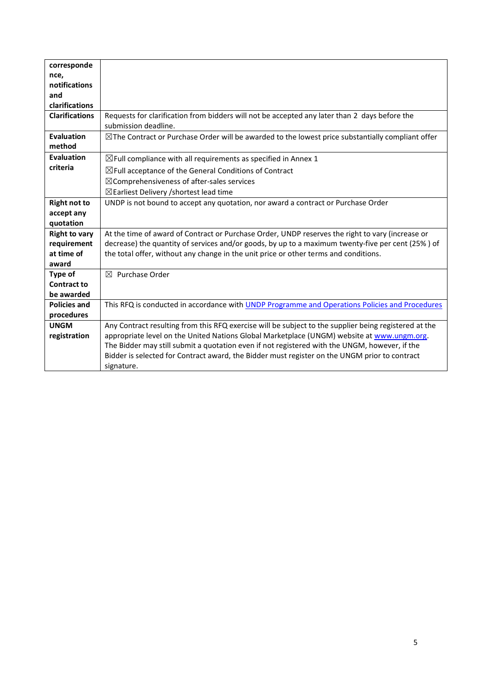| corresponde           |                                                                                                              |
|-----------------------|--------------------------------------------------------------------------------------------------------------|
| nce,                  |                                                                                                              |
| notifications         |                                                                                                              |
| and                   |                                                                                                              |
| clarifications        |                                                                                                              |
| <b>Clarifications</b> | Requests for clarification from bidders will not be accepted any later than 2 days before the                |
|                       | submission deadline.                                                                                         |
| <b>Evaluation</b>     | $\boxtimes$ The Contract or Purchase Order will be awarded to the lowest price substantially compliant offer |
| method                |                                                                                                              |
| <b>Evaluation</b>     | $\boxtimes$ Full compliance with all requirements as specified in Annex 1                                    |
| criteria              | $\boxtimes$ Full acceptance of the General Conditions of Contract                                            |
|                       | $\boxtimes$ Comprehensiveness of after-sales services                                                        |
|                       | $\boxtimes$ Earliest Delivery /shortest lead time                                                            |
| <b>Right not to</b>   | UNDP is not bound to accept any quotation, nor award a contract or Purchase Order                            |
| accept any            |                                                                                                              |
| quotation             |                                                                                                              |
| <b>Right to vary</b>  | At the time of award of Contract or Purchase Order, UNDP reserves the right to vary (increase or             |
| requirement           | decrease) the quantity of services and/or goods, by up to a maximum twenty-five per cent (25%) of            |
| at time of            | the total offer, without any change in the unit price or other terms and conditions.                         |
| award                 |                                                                                                              |
| <b>Type of</b>        | $\boxtimes$ Purchase Order                                                                                   |
| <b>Contract to</b>    |                                                                                                              |
| be awarded            |                                                                                                              |
| <b>Policies and</b>   | This RFQ is conducted in accordance with UNDP Programme and Operations Policies and Procedures               |
| procedures            |                                                                                                              |
| <b>UNGM</b>           | Any Contract resulting from this RFQ exercise will be subject to the supplier being registered at the        |
| registration          | appropriate level on the United Nations Global Marketplace (UNGM) website at www.ungm.org.                   |
|                       | The Bidder may still submit a quotation even if not registered with the UNGM, however, if the                |
|                       | Bidder is selected for Contract award, the Bidder must register on the UNGM prior to contract                |
|                       | signature.                                                                                                   |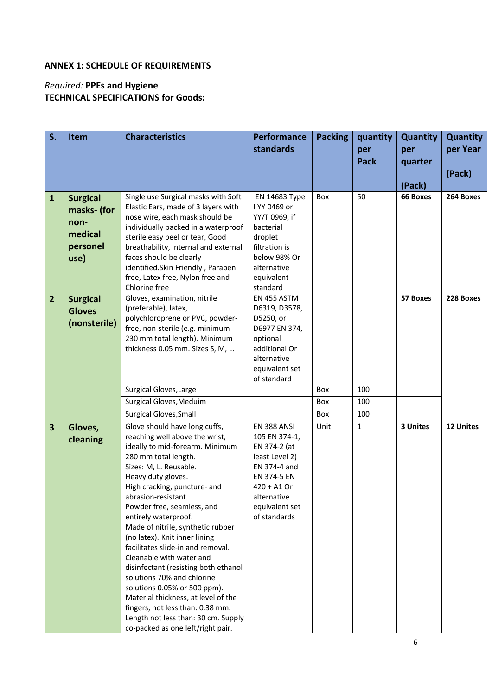## **ANNEX 1: SCHEDULE OF REQUIREMENTS**

# *Required:* **PPEs and Hygiene TECHNICAL SPECIFICATIONS for Goods:**

| S.                      | Item                                                                  | <b>Characteristics</b>                                                                                                                                                                                                                                                                                                                                                                                                                                                                                                                                                                                                                                                                      | <b>Performance</b><br>standards                                                                                                                                 | <b>Packing</b> | quantity<br>per<br><b>Pack</b> | <b>Quantity</b><br>per<br>quarter<br>(Pack) | <b>Quantity</b><br>per Year<br>(Pack) |
|-------------------------|-----------------------------------------------------------------------|---------------------------------------------------------------------------------------------------------------------------------------------------------------------------------------------------------------------------------------------------------------------------------------------------------------------------------------------------------------------------------------------------------------------------------------------------------------------------------------------------------------------------------------------------------------------------------------------------------------------------------------------------------------------------------------------|-----------------------------------------------------------------------------------------------------------------------------------------------------------------|----------------|--------------------------------|---------------------------------------------|---------------------------------------|
| $\mathbf{1}$            | <b>Surgical</b><br>masks- (for<br>non-<br>medical<br>personel<br>use) | Single use Surgical masks with Soft<br>Elastic Ears, made of 3 layers with<br>nose wire, each mask should be<br>individually packed in a waterproof<br>sterile easy peel or tear, Good<br>breathability, internal and external<br>faces should be clearly<br>identified.Skin Friendly, Paraben<br>free, Latex free, Nylon free and<br>Chlorine free                                                                                                                                                                                                                                                                                                                                         | EN 14683 Type<br>I YY 0469 or<br>YY/T 0969, if<br>bacterial<br>droplet<br>filtration is<br>below 98% Or<br>alternative<br>equivalent<br>standard                | Box            | 50                             | 66 Boxes                                    | 264 Boxes                             |
| $\overline{2}$          | <b>Surgical</b><br><b>Gloves</b><br>(nonsterile)                      | Gloves, examination, nitrile<br>(preferable), latex,<br>polychloroprene or PVC, powder-<br>free, non-sterile (e.g. minimum<br>230 mm total length). Minimum<br>thickness 0.05 mm. Sizes S, M, L.<br>Surgical Gloves, Large                                                                                                                                                                                                                                                                                                                                                                                                                                                                  | EN 455 ASTM<br>D6319, D3578,<br>D5250, or<br>D6977 EN 374,<br>optional<br>additional Or<br>alternative<br>equivalent set<br>of standard                         | Box            | 100                            | 57 Boxes                                    | 228 Boxes                             |
|                         |                                                                       | Surgical Gloves, Meduim                                                                                                                                                                                                                                                                                                                                                                                                                                                                                                                                                                                                                                                                     |                                                                                                                                                                 | Box            | 100                            |                                             |                                       |
|                         |                                                                       | <b>Surgical Gloves, Small</b>                                                                                                                                                                                                                                                                                                                                                                                                                                                                                                                                                                                                                                                               |                                                                                                                                                                 | Box            | 100                            |                                             |                                       |
| $\overline{\mathbf{3}}$ | Gloves,<br>cleaning                                                   | Glove should have long cuffs,<br>reaching well above the wrist,<br>ideally to mid-forearm. Minimum<br>280 mm total length.<br>Sizes: M, L. Reusable.<br>Heavy duty gloves.<br>High cracking, puncture- and<br>abrasion-resistant.<br>Powder free, seamless, and<br>entirely waterproof.<br>Made of nitrile, synthetic rubber<br>(no latex). Knit inner lining<br>facilitates slide-in and removal.<br>Cleanable with water and<br>disinfectant (resisting both ethanol<br>solutions 70% and chlorine<br>solutions 0.05% or 500 ppm).<br>Material thickness, at level of the<br>fingers, not less than: 0.38 mm.<br>Length not less than: 30 cm. Supply<br>co-packed as one left/right pair. | EN 388 ANSI<br>105 EN 374-1,<br>EN 374-2 (at<br>least Level 2)<br>EN 374-4 and<br>EN 374-5 EN<br>$420 + A1$ Or<br>alternative<br>equivalent set<br>of standards | Unit           | 1                              | 3 Unites                                    | 12 Unites                             |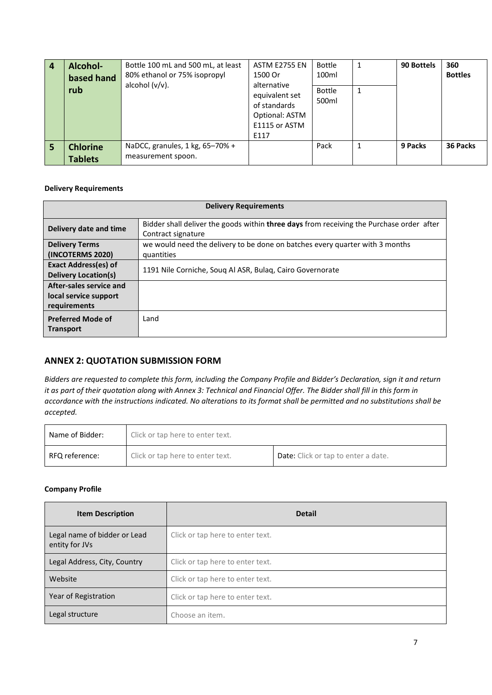|   | Alcohol-<br>based hand<br>rub     | Bottle 100 mL and 500 mL, at least<br>80% ethanol or 75% isopropyl<br>alcohol $(v/v)$ . | ASTM E2755 EN<br>1500 Or<br>alternative<br>equivalent set<br>of standards<br>Optional: ASTM<br>E1115 or ASTM | <b>Bottle</b><br>100ml<br><b>Bottle</b><br>500ml | 90 Bottels | 360<br><b>Bottles</b> |
|---|-----------------------------------|-----------------------------------------------------------------------------------------|--------------------------------------------------------------------------------------------------------------|--------------------------------------------------|------------|-----------------------|
| 5 | <b>Chlorine</b><br><b>Tablets</b> | NaDCC, granules, 1 kg, 65-70% +<br>measurement spoon.                                   | E117                                                                                                         | Pack                                             | 9 Packs    | 36 Packs              |

#### **Delivery Requirements**

| <b>Delivery Requirements</b>                                     |                                                                                                                |  |  |  |
|------------------------------------------------------------------|----------------------------------------------------------------------------------------------------------------|--|--|--|
| Delivery date and time                                           | Bidder shall deliver the goods within three days from receiving the Purchase order after<br>Contract signature |  |  |  |
| <b>Delivery Terms</b><br>(INCOTERMS 2020)                        | we would need the delivery to be done on batches every quarter with 3 months<br>quantities                     |  |  |  |
| <b>Exact Address(es) of</b><br><b>Delivery Location(s)</b>       | 1191 Nile Corniche, Soug Al ASR, Bulag, Cairo Governorate                                                      |  |  |  |
| After-sales service and<br>local service support<br>requirements |                                                                                                                |  |  |  |
| <b>Preferred Mode of</b><br><b>Transport</b>                     | Land                                                                                                           |  |  |  |

#### **ANNEX 2: QUOTATION SUBMISSION FORM**

*Bidders are requested to complete this form, including the Company Profile and Bidder's Declaration, sign it and return it as part of their quotation along with Annex 3: Technical and Financial Offer. The Bidder shall fill in this form in accordance with the instructions indicated. No alterations to its format shall be permitted and no substitutions shall be accepted.* 

| Name of Bidder: | Click or tap here to enter text. |                                            |  |
|-----------------|----------------------------------|--------------------------------------------|--|
| RFQ reference:  | Click or tap here to enter text. | <b>Date:</b> Click or tap to enter a date. |  |

#### **Company Profile**

| <b>Item Description</b>                        | <b>Detail</b>                    |
|------------------------------------------------|----------------------------------|
| Legal name of bidder or Lead<br>entity for JVs | Click or tap here to enter text. |
| Legal Address, City, Country                   | Click or tap here to enter text. |
| Website                                        | Click or tap here to enter text. |
| Year of Registration                           | Click or tap here to enter text. |
| Legal structure                                | Choose an item.                  |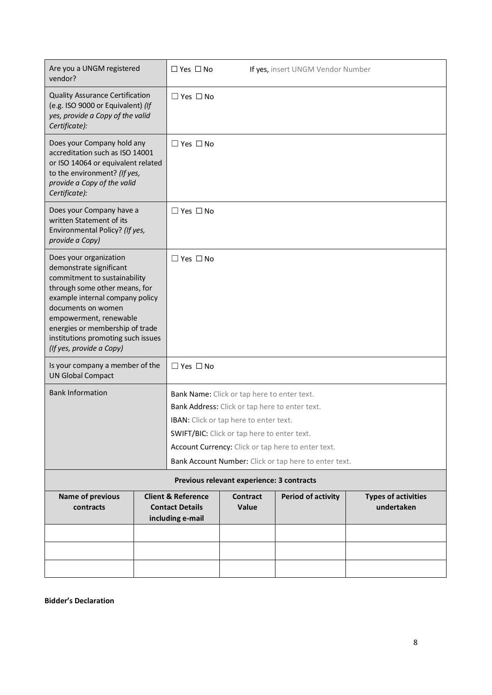| Are you a UNGM registered<br>vendor?                                                                                                                                                                                                                                                                       |  | $\Box$ Yes $\Box$ No                                                        |                                                                                                                                                                                        | If yes, insert UNGM Vendor Number                                                                           |                                          |
|------------------------------------------------------------------------------------------------------------------------------------------------------------------------------------------------------------------------------------------------------------------------------------------------------------|--|-----------------------------------------------------------------------------|----------------------------------------------------------------------------------------------------------------------------------------------------------------------------------------|-------------------------------------------------------------------------------------------------------------|------------------------------------------|
| <b>Quality Assurance Certification</b><br>(e.g. ISO 9000 or Equivalent) (If<br>yes, provide a Copy of the valid<br>Certificate):                                                                                                                                                                           |  | $\Box$ Yes $\Box$ No                                                        |                                                                                                                                                                                        |                                                                                                             |                                          |
| Does your Company hold any<br>accreditation such as ISO 14001<br>or ISO 14064 or equivalent related<br>to the environment? (If yes,<br>provide a Copy of the valid<br>Certificate):                                                                                                                        |  | $\Box$ Yes $\Box$ No                                                        |                                                                                                                                                                                        |                                                                                                             |                                          |
| Does your Company have a<br>written Statement of its<br>Environmental Policy? (If yes,<br>provide a Copy)                                                                                                                                                                                                  |  | $\Box$ Yes $\Box$ No                                                        |                                                                                                                                                                                        |                                                                                                             |                                          |
| Does your organization<br>demonstrate significant<br>commitment to sustainability<br>through some other means, for<br>example internal company policy<br>documents on women<br>empowerment, renewable<br>energies or membership of trade<br>institutions promoting such issues<br>(If yes, provide a Copy) |  | $\Box$ Yes $\Box$ No                                                        |                                                                                                                                                                                        |                                                                                                             |                                          |
| Is your company a member of the<br><b>UN Global Compact</b>                                                                                                                                                                                                                                                |  | $\Box$ Yes $\Box$ No                                                        |                                                                                                                                                                                        |                                                                                                             |                                          |
| <b>Bank Information</b>                                                                                                                                                                                                                                                                                    |  |                                                                             | Bank Name: Click or tap here to enter text.<br>Bank Address: Click or tap here to enter text.<br>IBAN: Click or tap here to enter text.<br>SWIFT/BIC: Click or tap here to enter text. | Account Currency: Click or tap here to enter text.<br>Bank Account Number: Click or tap here to enter text. |                                          |
|                                                                                                                                                                                                                                                                                                            |  |                                                                             | Previous relevant experience: 3 contracts                                                                                                                                              |                                                                                                             |                                          |
| <b>Name of previous</b><br>contracts                                                                                                                                                                                                                                                                       |  | <b>Client &amp; Reference</b><br><b>Contact Details</b><br>including e-mail | <b>Contract</b><br>Value                                                                                                                                                               | <b>Period of activity</b>                                                                                   | <b>Types of activities</b><br>undertaken |
|                                                                                                                                                                                                                                                                                                            |  |                                                                             |                                                                                                                                                                                        |                                                                                                             |                                          |
|                                                                                                                                                                                                                                                                                                            |  |                                                                             |                                                                                                                                                                                        |                                                                                                             |                                          |
|                                                                                                                                                                                                                                                                                                            |  |                                                                             |                                                                                                                                                                                        |                                                                                                             |                                          |

**Bidder's Declaration**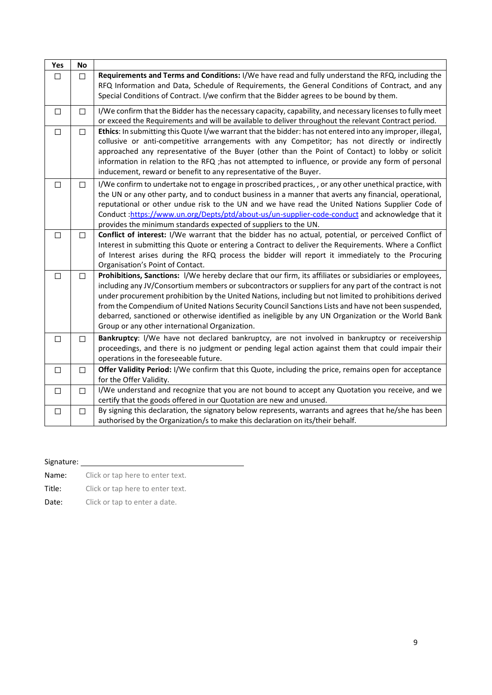| Yes    | <b>No</b> |                                                                                                                                                                                                                                                                                                                                                                                                                                                                                                                                                                                              |
|--------|-----------|----------------------------------------------------------------------------------------------------------------------------------------------------------------------------------------------------------------------------------------------------------------------------------------------------------------------------------------------------------------------------------------------------------------------------------------------------------------------------------------------------------------------------------------------------------------------------------------------|
| $\Box$ | □         | Requirements and Terms and Conditions: I/We have read and fully understand the RFQ, including the<br>RFQ Information and Data, Schedule of Requirements, the General Conditions of Contract, and any<br>Special Conditions of Contract. I/we confirm that the Bidder agrees to be bound by them.                                                                                                                                                                                                                                                                                             |
| $\Box$ | $\Box$    | I/We confirm that the Bidder has the necessary capacity, capability, and necessary licenses to fully meet<br>or exceed the Requirements and will be available to deliver throughout the relevant Contract period.                                                                                                                                                                                                                                                                                                                                                                            |
| $\Box$ | $\Box$    | Ethics: In submitting this Quote I/we warrant that the bidder: has not entered into any improper, illegal,<br>collusive or anti-competitive arrangements with any Competitor; has not directly or indirectly<br>approached any representative of the Buyer (other than the Point of Contact) to lobby or solicit<br>information in relation to the RFQ ; has not attempted to influence, or provide any form of personal<br>inducement, reward or benefit to any representative of the Buyer.                                                                                                |
| $\Box$ | $\Box$    | I/We confirm to undertake not to engage in proscribed practices, , or any other unethical practice, with<br>the UN or any other party, and to conduct business in a manner that averts any financial, operational,<br>reputational or other undue risk to the UN and we have read the United Nations Supplier Code of<br>Conduct:https://www.un.org/Depts/ptd/about-us/un-supplier-code-conduct and acknowledge that it<br>provides the minimum standards expected of suppliers to the UN.                                                                                                   |
| $\Box$ | $\Box$    | Conflict of interest: I/We warrant that the bidder has no actual, potential, or perceived Conflict of<br>Interest in submitting this Quote or entering a Contract to deliver the Requirements. Where a Conflict<br>of Interest arises during the RFQ process the bidder will report it immediately to the Procuring<br>Organisation's Point of Contact.                                                                                                                                                                                                                                      |
| $\Box$ | П         | Prohibitions, Sanctions: I/We hereby declare that our firm, its affiliates or subsidiaries or employees,<br>including any JV/Consortium members or subcontractors or suppliers for any part of the contract is not<br>under procurement prohibition by the United Nations, including but not limited to prohibitions derived<br>from the Compendium of United Nations Security Council Sanctions Lists and have not been suspended,<br>debarred, sanctioned or otherwise identified as ineligible by any UN Organization or the World Bank<br>Group or any other international Organization. |
| $\Box$ | $\Box$    | Bankruptcy: I/We have not declared bankruptcy, are not involved in bankruptcy or receivership<br>proceedings, and there is no judgment or pending legal action against them that could impair their<br>operations in the foreseeable future.                                                                                                                                                                                                                                                                                                                                                 |
| $\Box$ | $\Box$    | Offer Validity Period: I/We confirm that this Quote, including the price, remains open for acceptance<br>for the Offer Validity.                                                                                                                                                                                                                                                                                                                                                                                                                                                             |
| $\Box$ | $\Box$    | I/We understand and recognize that you are not bound to accept any Quotation you receive, and we<br>certify that the goods offered in our Quotation are new and unused.                                                                                                                                                                                                                                                                                                                                                                                                                      |
| $\Box$ | $\Box$    | By signing this declaration, the signatory below represents, warrants and agrees that he/she has been<br>authorised by the Organization/s to make this declaration on its/their behalf.                                                                                                                                                                                                                                                                                                                                                                                                      |

| Signature: |
|------------|
|            |

Name: Click or tap here to enter text.

Title: Click or tap here to enter text.

Date: Click or tap to enter a date.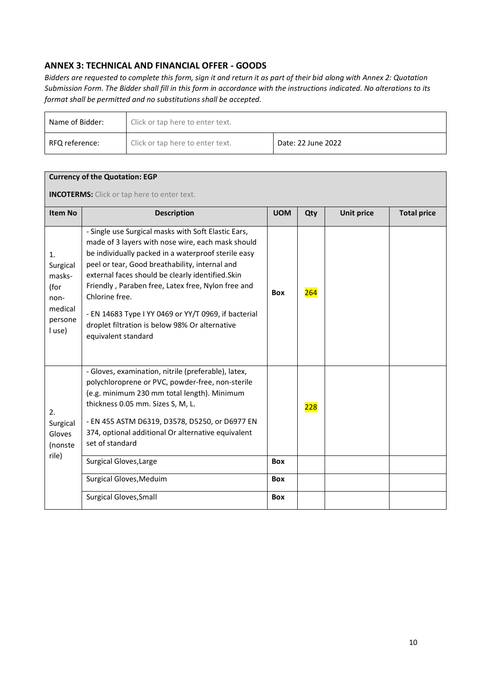## **ANNEX 3: TECHNICAL AND FINANCIAL OFFER - GOODS**

*Bidders are requested to complete this form, sign it and return it as part of their bid along with Annex 2: Quotation Submission Form. The Bidder shall fill in this form in accordance with the instructions indicated. No alterations to its format shall be permitted and no substitutions shall be accepted.*

| Name of Bidder: | Click or tap here to enter text. |                    |  |
|-----------------|----------------------------------|--------------------|--|
| RFQ reference:  | Click or tap here to enter text. | Date: 22 June 2022 |  |

| <b>Currency of the Quotation: EGP</b>                                    |                                                                                                                                                                                                                                                                                                                                                                                                                                                                                 |            |     |                   |                    |
|--------------------------------------------------------------------------|---------------------------------------------------------------------------------------------------------------------------------------------------------------------------------------------------------------------------------------------------------------------------------------------------------------------------------------------------------------------------------------------------------------------------------------------------------------------------------|------------|-----|-------------------|--------------------|
| <b>INCOTERMS:</b> Click or tap here to enter text.                       |                                                                                                                                                                                                                                                                                                                                                                                                                                                                                 |            |     |                   |                    |
| <b>Item No</b>                                                           | <b>Description</b>                                                                                                                                                                                                                                                                                                                                                                                                                                                              | <b>UOM</b> | Qty | <b>Unit price</b> | <b>Total price</b> |
| 1.<br>Surgical<br>masks-<br>(for<br>non-<br>medical<br>persone<br>l use) | - Single use Surgical masks with Soft Elastic Ears,<br>made of 3 layers with nose wire, each mask should<br>be individually packed in a waterproof sterile easy<br>peel or tear, Good breathability, internal and<br>external faces should be clearly identified. Skin<br>Friendly, Paraben free, Latex free, Nylon free and<br>Chlorine free.<br>- EN 14683 Type I YY 0469 or YY/T 0969, if bacterial<br>droplet filtration is below 98% Or alternative<br>equivalent standard | <b>Box</b> | 264 |                   |                    |
| 2.<br>Surgical<br>Gloves<br>(nonste<br>rile)                             | - Gloves, examination, nitrile (preferable), latex,<br>polychloroprene or PVC, powder-free, non-sterile<br>(e.g. minimum 230 mm total length). Minimum<br>thickness 0.05 mm. Sizes S, M, L.<br>- EN 455 ASTM D6319, D3578, D5250, or D6977 EN<br>374, optional additional Or alternative equivalent<br>set of standard<br>Surgical Gloves, Large                                                                                                                                | Box        | 228 |                   |                    |
|                                                                          | Surgical Gloves, Meduim                                                                                                                                                                                                                                                                                                                                                                                                                                                         | <b>Box</b> |     |                   |                    |
|                                                                          | <b>Surgical Gloves, Small</b>                                                                                                                                                                                                                                                                                                                                                                                                                                                   | <b>Box</b> |     |                   |                    |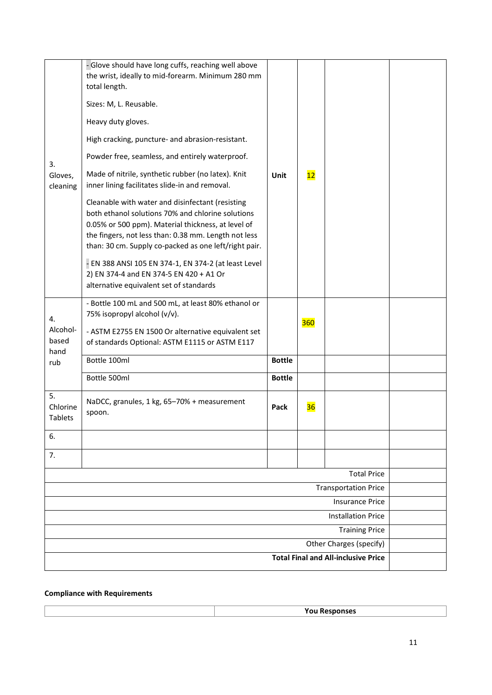| 3.<br>Gloves,<br>cleaning                           | - Glove should have long cuffs, reaching well above<br>the wrist, ideally to mid-forearm. Minimum 280 mm<br>total length.<br>Sizes: M, L. Reusable.<br>Heavy duty gloves.<br>High cracking, puncture- and abrasion-resistant.<br>Powder free, seamless, and entirely waterproof.<br>Made of nitrile, synthetic rubber (no latex). Knit<br>inner lining facilitates slide-in and removal.<br>Cleanable with water and disinfectant (resisting<br>both ethanol solutions 70% and chlorine solutions<br>0.05% or 500 ppm). Material thickness, at level of<br>the fingers, not less than: 0.38 mm. Length not less<br>than: 30 cm. Supply co-packed as one left/right pair.<br>- EN 388 ANSI 105 EN 374-1, EN 374-2 (at least Level<br>2) EN 374-4 and EN 374-5 EN 420 + A1 Or<br>alternative equivalent set of standards | Unit          | 12  |                    |  |
|-----------------------------------------------------|------------------------------------------------------------------------------------------------------------------------------------------------------------------------------------------------------------------------------------------------------------------------------------------------------------------------------------------------------------------------------------------------------------------------------------------------------------------------------------------------------------------------------------------------------------------------------------------------------------------------------------------------------------------------------------------------------------------------------------------------------------------------------------------------------------------------|---------------|-----|--------------------|--|
| 4.<br>Alcohol-<br>based                             | - Bottle 100 mL and 500 mL, at least 80% ethanol or<br>75% isopropyl alcohol (v/v).<br>- ASTM E2755 EN 1500 Or alternative equivalent set<br>of standards Optional: ASTM E1115 or ASTM E117                                                                                                                                                                                                                                                                                                                                                                                                                                                                                                                                                                                                                            |               | 360 |                    |  |
| hand<br>rub                                         | Bottle 100ml                                                                                                                                                                                                                                                                                                                                                                                                                                                                                                                                                                                                                                                                                                                                                                                                           | <b>Bottle</b> |     |                    |  |
|                                                     | Bottle 500ml                                                                                                                                                                                                                                                                                                                                                                                                                                                                                                                                                                                                                                                                                                                                                                                                           | <b>Bottle</b> |     |                    |  |
| 5.<br>Chlorine<br>Tablets                           | NaDCC, granules, 1 kg, 65-70% + measurement<br>spoon.                                                                                                                                                                                                                                                                                                                                                                                                                                                                                                                                                                                                                                                                                                                                                                  | Pack          | 36  |                    |  |
| 6.                                                  |                                                                                                                                                                                                                                                                                                                                                                                                                                                                                                                                                                                                                                                                                                                                                                                                                        |               |     |                    |  |
| 7.                                                  |                                                                                                                                                                                                                                                                                                                                                                                                                                                                                                                                                                                                                                                                                                                                                                                                                        |               |     |                    |  |
|                                                     |                                                                                                                                                                                                                                                                                                                                                                                                                                                                                                                                                                                                                                                                                                                                                                                                                        |               |     | <b>Total Price</b> |  |
| <b>Transportation Price</b>                         |                                                                                                                                                                                                                                                                                                                                                                                                                                                                                                                                                                                                                                                                                                                                                                                                                        |               |     |                    |  |
| <b>Insurance Price</b><br><b>Installation Price</b> |                                                                                                                                                                                                                                                                                                                                                                                                                                                                                                                                                                                                                                                                                                                                                                                                                        |               |     |                    |  |
| <b>Training Price</b>                               |                                                                                                                                                                                                                                                                                                                                                                                                                                                                                                                                                                                                                                                                                                                                                                                                                        |               |     |                    |  |
| Other Charges (specify)                             |                                                                                                                                                                                                                                                                                                                                                                                                                                                                                                                                                                                                                                                                                                                                                                                                                        |               |     |                    |  |
|                                                     | <b>Total Final and All-inclusive Price</b>                                                                                                                                                                                                                                                                                                                                                                                                                                                                                                                                                                                                                                                                                                                                                                             |               |     |                    |  |

#### **Compliance with Requirements**

|--|